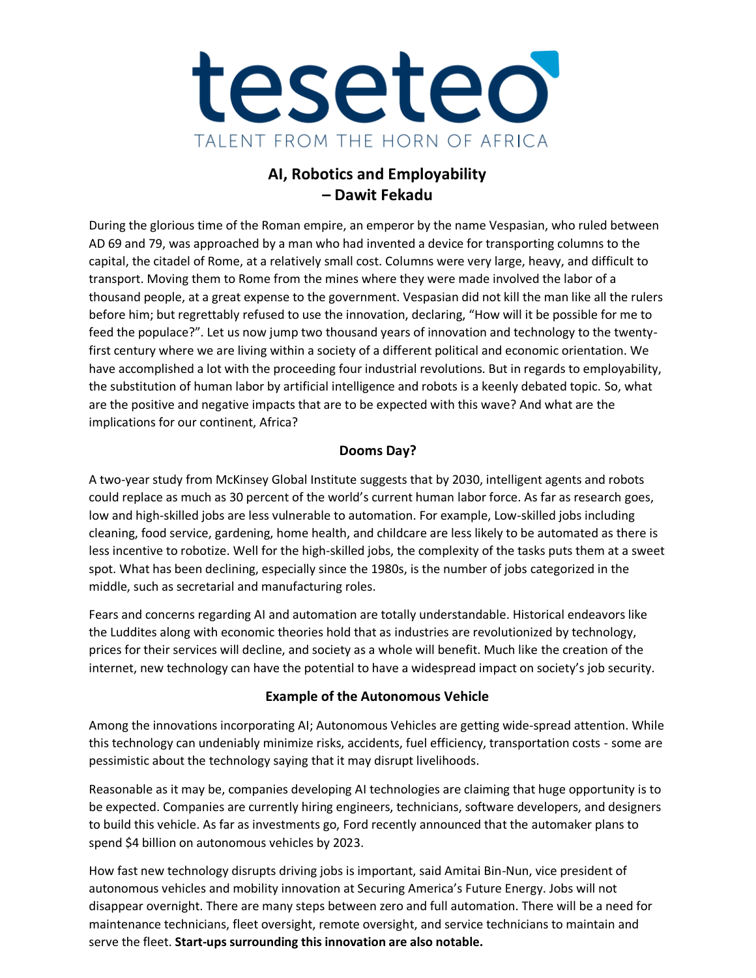

## **AI, Robotics and Employability – Dawit Fekadu**

During the glorious time of the Roman empire, an emperor by the name Vespasian, who ruled between AD 69 and 79, was approached by a man who had invented a device for transporting columns to the capital, the citadel of Rome, at a relatively small cost. Columns were very large, heavy, and difficult to transport. Moving them to Rome from the mines where they were made involved the labor of a thousand people, at a great expense to the government. Vespasian did not kill the man like all the rulers before him; but regrettably refused to use the innovation, declaring, "How will it be possible for me to feed the populace?". Let us now jump two thousand years of innovation and technology to the twentyfirst century where we are living within a society of a different political and economic orientation. We have accomplished a lot with the proceeding four industrial revolutions. But in regards to employability, the substitution of human labor by artificial intelligence and robots is a keenly debated topic. So, what are the positive and negative impacts that are to be expected with this wave? And what are the implications for our continent, Africa?

## **Dooms Day?**

A [two-year study from McKinsey Global Institute s](https://www.mckinsey.com/featured-insights/future-of-organizations-and-work/Jobs-lost-jobs-gained-what-the-future-of-work-will-mean-for-jobs-skills-and-wages)uggests that by 2030, intelligent agents and robots could replace as much as 30 percent of the world's current human labor force. As far as research goes, low and high-skilled jobs are less vulnerable to automation. For example, Low-skilled jobs including cleaning, food service, gardening, home health, and childcare are less likely to be automated as there is less incentive to robotize. Well for the high-skilled jobs, the complexity of the tasks puts them at a sweet spot. What has been declining, especially since the 1980s, is the number of jobs categorized in the middle, such as secretarial and manufacturing roles.

Fears and concerns regarding AI and automation are totally understandable. Historical endeavors like the Luddites along with economic theories hold that as industries are revolutionized by technology, prices for their services will decline, and society as a whole will benefit. Much like the creation of the internet, new technology can have the potential to have a widespread impact on society's job security.

## **Example of the Autonomous Vehicle**

Among the innovations incorporating AI; Autonomous Vehicles are getting wide-spread attention. While this technology can undeniably minimize risks, accidents, fuel efficiency, transportation costs - some are pessimistic about the technology saying that it may disrupt livelihoods.

Reasonable as it may be, companies developing AI technologies are claiming that huge opportunity is to be expected. Companies are currently hiring engineers, technicians, software developers, and designers to build this vehicle. As far as investments go, [Ford r](https://www.cnbc.com/quotes/?symbol=F)ecently announced that the automaker plans to spend \$4 billion on autonomous vehicles by 2023.

How fast new technology disrupts driving jobs is important, said Amitai Bin-Nun, vice president of autonomous vehicles and mobility innovation at Securing America's Future Energy. Jobs will not disappear overnight. There are many steps between zero and full automation. There will be a need for maintenance technicians, fleet oversight, remote oversight, and service technicians to maintain and serve the fleet. **Start-ups surrounding this innovation are also notable.**